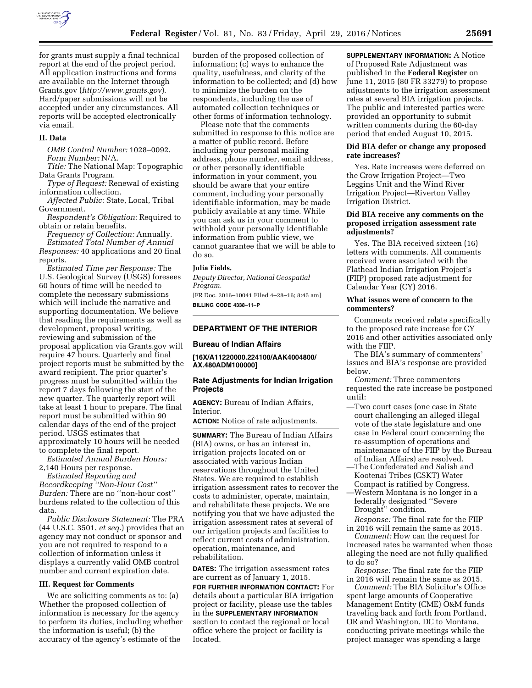

for grants must supply a final technical report at the end of the project period. All application instructions and forms are available on the Internet through Grants.gov (*<http://www.grants.gov>*). Hard/paper submissions will not be accepted under any circumstances. All reports will be accepted electronically via email.

#### **II. Data**

*OMB Control Number:* 1028–0092. *Form Number:* N/A.

*Title:* The National Map: Topographic Data Grants Program.

*Type of Request:* Renewal of existing information collection.

*Affected Public:* State, Local, Tribal Government.

*Respondent's Obligation:* Required to obtain or retain benefits.

*Frequency of Collection:* Annually. *Estimated Total Number of Annual Responses:* 40 applications and 20 final reports.

*Estimated Time per Response:* The U.S. Geological Survey (USGS) foresees 60 hours of time will be needed to complete the necessary submissions which will include the narrative and supporting documentation. We believe that reading the requirements as well as development, proposal writing, reviewing and submission of the proposal application via Grants.gov will require 47 hours. Quarterly and final project reports must be submitted by the award recipient. The prior quarter's progress must be submitted within the report 7 days following the start of the new quarter. The quarterly report will take at least 1 hour to prepare. The final report must be submitted within 90 calendar days of the end of the project period. USGS estimates that approximately 10 hours will be needed to complete the final report.

*Estimated Annual Burden Hours:*  2,140 Hours per response.

*Estimated Reporting and Recordkeeping ''Non-Hour Cost'' Burden:* There are no ''non-hour cost'' burdens related to the collection of this data.

*Public Disclosure Statement:* The PRA (44 U.S.C. 3501, *et seq.*) provides that an agency may not conduct or sponsor and you are not required to respond to a collection of information unless it displays a currently valid OMB control number and current expiration date.

#### **III. Request for Comments**

We are soliciting comments as to: (a) Whether the proposed collection of information is necessary for the agency to perform its duties, including whether the information is useful; (b) the accuracy of the agency's estimate of the

burden of the proposed collection of information; (c) ways to enhance the quality, usefulness, and clarity of the information to be collected; and (d) how to minimize the burden on the respondents, including the use of automated collection techniques or other forms of information technology.

Please note that the comments submitted in response to this notice are a matter of public record. Before including your personal mailing address, phone number, email address, or other personally identifiable information in your comment, you should be aware that your entire comment, including your personally identifiable information, may be made publicly available at any time. While you can ask us in your comment to withhold your personally identifiable information from public view, we cannot guarantee that we will be able to do so.

#### **Julia Fields,**

*Deputy Director, National Geospatial Program.* 

[FR Doc. 2016–10041 Filed 4–28–16; 8:45 am] **BILLING CODE 4338–11–P** 

# **DEPARTMENT OF THE INTERIOR**

#### **Bureau of Indian Affairs**

**[16X/A11220000.224100/AAK4004800/ AX.480ADM100000]** 

### **Rate Adjustments for Indian Irrigation Projects**

**AGENCY:** Bureau of Indian Affairs, Interior.

**ACTION:** Notice of rate adjustments.

**SUMMARY:** The Bureau of Indian Affairs (BIA) owns, or has an interest in, irrigation projects located on or associated with various Indian reservations throughout the United States. We are required to establish irrigation assessment rates to recover the costs to administer, operate, maintain, and rehabilitate these projects. We are notifying you that we have adjusted the irrigation assessment rates at several of our irrigation projects and facilities to reflect current costs of administration, operation, maintenance, and rehabilitation.

**DATES:** The irrigation assessment rates are current as of January 1, 2015.

**FOR FURTHER INFORMATION CONTACT:** For details about a particular BIA irrigation project or facility, please use the tables in the **SUPPLEMENTARY INFORMATION** section to contact the regional or local office where the project or facility is located.

**SUPPLEMENTARY INFORMATION: A Notice** of Proposed Rate Adjustment was published in the **Federal Register** on June 11, 2015 (80 FR 33279) to propose adjustments to the irrigation assessment rates at several BIA irrigation projects. The public and interested parties were provided an opportunity to submit written comments during the 60-day period that ended August 10, 2015.

## **Did BIA defer or change any proposed rate increases?**

Yes. Rate increases were deferred on the Crow Irrigation Project—Two Leggins Unit and the Wind River Irrigation Project—Riverton Valley Irrigation District.

### **Did BIA receive any comments on the proposed irrigation assessment rate adjustments?**

Yes. The BIA received sixteen (16) letters with comments. All comments received were associated with the Flathead Indian Irrigation Project's (FIIP) proposed rate adjustment for Calendar Year (CY) 2016.

### **What issues were of concern to the commenters?**

Comments received relate specifically to the proposed rate increase for CY 2016 and other activities associated only with the FIIP.

The BIA's summary of commenters' issues and BIA's response are provided below.

*Comment:* Three commenters requested the rate increase be postponed until:

- —Two court cases (one case in State court challenging an alleged illegal vote of the state legislature and one case in Federal court concerning the re-assumption of operations and maintenance of the FIIP by the Bureau of Indian Affairs) are resolved.
- —The Confederated and Salish and Kootenai Tribes (CSKT) Water Compact is ratified by Congress.
- —Western Montana is no longer in a federally designated ''Severe Drought'' condition.

*Response:* The final rate for the FIIP in 2016 will remain the same as 2015.

*Comment:* How can the request for increased rates be warranted when those alleging the need are not fully qualified to do so?

*Response:* The final rate for the FIIP in 2016 will remain the same as 2015.

*Comment:* The BIA Solicitor's Office spent large amounts of Cooperative Management Entity (CME) O&M funds traveling back and forth from Portland, OR and Washington, DC to Montana, conducting private meetings while the project manager was spending a large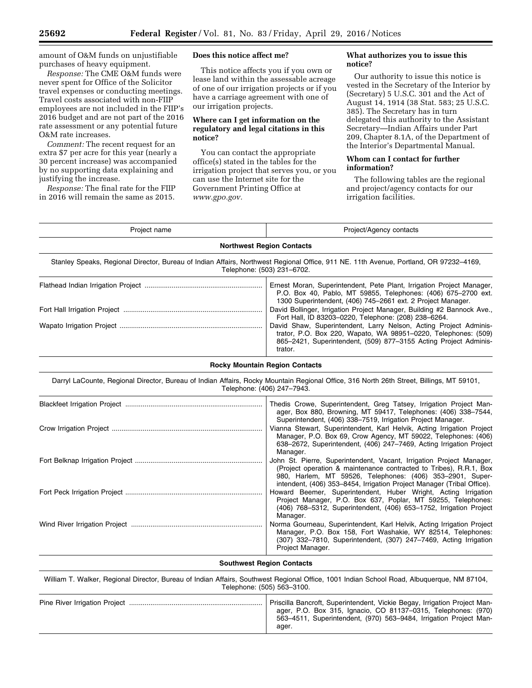amount of O&M funds on unjustifiable purchases of heavy equipment.

*Response:* The CME O&M funds were never spent for Office of the Solicitor travel expenses or conducting meetings. Travel costs associated with non-FIIP employees are not included in the FIIP's 2016 budget and are not part of the 2016 rate assessment or any potential future O&M rate increases.

*Comment:* The recent request for an extra \$7 per acre for this year (nearly a 30 percent increase) was accompanied by no supporting data explaining and justifying the increase.

*Response:* The final rate for the FIIP in 2016 will remain the same as 2015.

### **Does this notice affect me?**

This notice affects you if you own or lease land within the assessable acreage of one of our irrigation projects or if you have a carriage agreement with one of our irrigation projects.

## **Where can I get information on the regulatory and legal citations in this notice?**

You can contact the appropriate office(s) stated in the tables for the irrigation project that serves you, or you can use the Internet site for the Government Printing Office at *[www.gpo.gov.](http://www.gpo.gov)* 

## **What authorizes you to issue this notice?**

Our authority to issue this notice is vested in the Secretary of the Interior by (Secretary) 5 U.S.C. 301 and the Act of August 14, 1914 (38 Stat. 583; 25 U.S.C. 385). The Secretary has in turn delegated this authority to the Assistant Secretary—Indian Affairs under Part 209, Chapter 8.1A, of the Department of the Interior's Departmental Manual.

# **Whom can I contact for further information?**

The following tables are the regional and project/agency contacts for our irrigation facilities.

| Project name                                                                                                                                                        | Project/Agency contacts                                                                                                                                                                                            |  |  |  |
|---------------------------------------------------------------------------------------------------------------------------------------------------------------------|--------------------------------------------------------------------------------------------------------------------------------------------------------------------------------------------------------------------|--|--|--|
| <b>Northwest Region Contacts</b>                                                                                                                                    |                                                                                                                                                                                                                    |  |  |  |
| Stanley Speaks, Regional Director, Bureau of Indian Affairs, Northwest Regional Office, 911 NE. 11th Avenue, Portland, OR 97232-4169,<br>Telephone: (503) 231-6702. |                                                                                                                                                                                                                    |  |  |  |
|                                                                                                                                                                     | Ernest Moran, Superintendent, Pete Plant, Irrigation Project Manager,<br>P.O. Box 40, Pablo, MT 59855, Telephones: (406) 675-2700 ext.<br>1300 Superintendent, (406) 745-2661 ext. 2 Project Manager.              |  |  |  |
|                                                                                                                                                                     | David Bollinger, Irrigation Project Manager, Building #2 Bannock Ave.,<br>Fort Hall, ID 83203-0220, Telephone: (208) 238-6264.                                                                                     |  |  |  |
|                                                                                                                                                                     | David Shaw, Superintendent, Larry Nelson, Acting Project Adminis-<br>trator, P.O. Box 220, Wapato, WA 98951-0220, Telephones: (509)<br>865-2421, Superintendent, (509) 877-3155 Acting Project Adminis-<br>trator. |  |  |  |

## **Rocky Mountain Region Contacts**

Darryl LaCounte, Regional Director, Bureau of Indian Affairs, Rocky Mountain Regional Office, 316 North 26th Street, Billings, MT 59101, Telephone: (406) 247–7943.

| Thedis Crowe, Superintendent, Greg Tatsey, Irrigation Project Man-<br>ager, Box 880, Browning, MT 59417, Telephones: (406) 338-7544,<br>Superintendent, (406) 338–7519, Irrigation Project Manager.                                                                               |
|-----------------------------------------------------------------------------------------------------------------------------------------------------------------------------------------------------------------------------------------------------------------------------------|
| Vianna Stewart, Superintendent, Karl Helvik, Acting Irrigation Project<br>Manager, P.O. Box 69, Crow Agency, MT 59022, Telephones: (406)<br>638–2672, Superintendent, (406) 247–7469, Acting Irrigation Project<br>Manager.                                                       |
| John St. Pierre, Superintendent, Vacant, Irrigation Project Manager,<br>(Project operation & maintenance contracted to Tribes), R.R.1, Box<br>980, Harlem, MT 59526, Telephones: (406) 353-2901, Super-<br>intendent, (406) 353–8454, Irrigation Project Manager (Tribal Office). |
| Howard Beemer, Superintendent, Huber Wright, Acting Irrigation<br>Project Manager, P.O. Box 637, Poplar, MT 59255, Telephones:<br>(406) 768-5312, Superintendent, (406) 653-1752, Irrigation Project<br>Manager.                                                                  |
| Norma Gourneau, Superintendent, Karl Helvik, Acting Irrigation Project<br>Manager, P.O. Box 158, Fort Washakie, WY 82514, Telephones:<br>(307) 332-7810, Superintendent, (307) 247-7469, Acting Irrigation<br>Project Manager.                                                    |

### **Southwest Region Contacts**

William T. Walker, Regional Director, Bureau of Indian Affairs, Southwest Regional Office, 1001 Indian School Road, Albuquerque, NM 87104, Telephone: (505) 563–3100. Pine River Irrigation Project ..................................................................... Priscilla Bancroft, Superintendent, Vickie Begay, Irrigation Project Manager, P.O. Box 315, Ignacio, CO 81137–0315, Telephones: (970) 563–4511, Superintendent, (970) 563–9484, Irrigation Project Manager.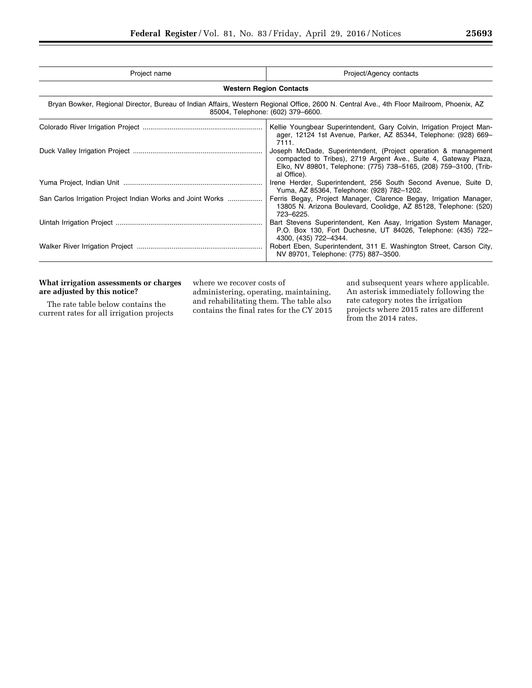| Project name                                                                                                                                                                   | Project/Agency contacts                                                                                                                                                                                               |  |  |  |  |
|--------------------------------------------------------------------------------------------------------------------------------------------------------------------------------|-----------------------------------------------------------------------------------------------------------------------------------------------------------------------------------------------------------------------|--|--|--|--|
|                                                                                                                                                                                | <b>Western Region Contacts</b>                                                                                                                                                                                        |  |  |  |  |
| Bryan Bowker, Regional Director, Bureau of Indian Affairs, Western Regional Office, 2600 N. Central Ave., 4th Floor Mailroom, Phoenix, AZ<br>85004, Telephone: (602) 379-6600. |                                                                                                                                                                                                                       |  |  |  |  |
|                                                                                                                                                                                | Kellie Youngbear Superintendent, Gary Colvin, Irrigation Project Man-<br>ager, 12124 1st Avenue, Parker, AZ 85344, Telephone: (928) 669-<br>7111.                                                                     |  |  |  |  |
|                                                                                                                                                                                | Joseph McDade, Superintendent, (Project operation & management<br>compacted to Tribes), 2719 Argent Ave., Suite 4, Gateway Plaza,<br>Elko, NV 89801, Telephone: (775) 738-5165, (208) 759-3100, (Trib-<br>al Office). |  |  |  |  |
|                                                                                                                                                                                | Irene Herder, Superintendent, 256 South Second Avenue, Suite D,<br>Yuma, AZ 85364, Telephone: (928) 782-1202.                                                                                                         |  |  |  |  |
| San Carlos Irrigation Project Indian Works and Joint Works                                                                                                                     | Ferris Begay, Project Manager, Clarence Begay, Irrigation Manager,<br>13805 N. Arizona Boulevard, Coolidge, AZ 85128, Telephone: (520)<br>723-6225.                                                                   |  |  |  |  |
|                                                                                                                                                                                | Bart Stevens Superintendent, Ken Asay, Irrigation System Manager,<br>P.O. Box 130, Fort Duchesne, UT 84026, Telephone: (435) 722-<br>4300, (435) 722-4344.                                                            |  |  |  |  |
|                                                                                                                                                                                | Robert Eben, Superintendent, 311 E. Washington Street, Carson City,<br>NV 89701, Telephone: (775) 887-3500.                                                                                                           |  |  |  |  |

# **What irrigation assessments or charges are adjusted by this notice?**

The rate table below contains the current rates for all irrigation projects where we recover costs of administering, operating, maintaining, and rehabilitating them. The table also

contains the final rates for the CY 2015

and subsequent years where applicable. An asterisk immediately following the rate category notes the irrigation projects where 2015 rates are different from the 2014 rates.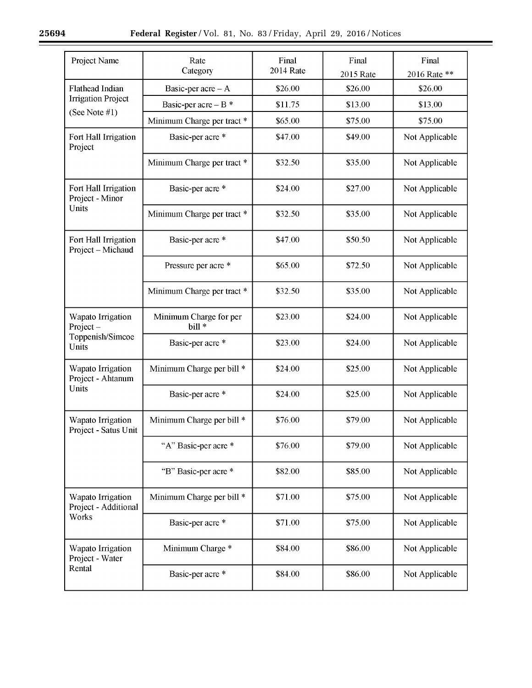| Project Name                                       | Final<br>Final<br>Rate<br><b>2014 Rate</b><br>Category<br>2015 Rate |         |         | Final<br>2016 Rate ** |
|----------------------------------------------------|---------------------------------------------------------------------|---------|---------|-----------------------|
| <b>Flathead Indian</b>                             | Basic-per $a$ cre – A                                               | \$26.00 | \$26.00 | \$26.00               |
| <b>Irrigation Project</b>                          | Basic-per acre - $B^*$                                              | \$11.75 | \$13.00 | \$13.00               |
| (See Note $#1$ )                                   | Minimum Charge per tract *                                          | \$65.00 | \$75.00 | \$75.00               |
| Fort Hall Irrigation<br>Project                    | Basic-per acre *                                                    | \$47.00 | \$49.00 | Not Applicable        |
|                                                    | Minimum Charge per tract *                                          | \$32.50 | \$35.00 | Not Applicable        |
| Fort Hall Irrigation<br>Project - Minor            | Basic-per acre *                                                    | \$24.00 | \$27.00 | Not Applicable        |
| Units                                              | Minimum Charge per tract *                                          | \$32.50 | \$35.00 | Not Applicable        |
| Fort Hall Irrigation<br>Project - Michaud          | Basic-per acre *                                                    | \$47.00 | \$50.50 | Not Applicable        |
|                                                    | Pressure per acre *                                                 | \$65.00 | \$72.50 | Not Applicable        |
|                                                    | Minimum Charge per tract *                                          | \$32.50 | \$35.00 | Not Applicable        |
| Wapato Irrigation<br>$Project -$                   | Minimum Charge for per<br>bill *                                    | \$23.00 | \$24.00 | Not Applicable        |
| Toppenish/Simcoe<br>Units                          | Basic-per acre *                                                    | \$23.00 | \$24.00 | Not Applicable        |
| Wapato Irrigation<br>Project - Ahtanum<br>Units    | Minimum Charge per bill *                                           | \$24.00 | \$25.00 | Not Applicable        |
|                                                    | Basic-per acre *                                                    | \$24.00 | \$25.00 | Not Applicable        |
| Wapato Irrigation<br>Project - Satus Unit          | Minimum Charge per bill *                                           | \$76.00 | \$79.00 | Not Applicable        |
|                                                    | "A" Basic-per acre *                                                | \$76.00 | \$79.00 | Not Applicable        |
|                                                    | "B" Basic-per acre *                                                | \$82.00 | \$85.00 | Not Applicable        |
| Wapato Irrigation<br>Project - Additional<br>Works | Minimum Charge per bill *                                           | \$71.00 | \$75.00 | Not Applicable        |
|                                                    | Basic-per acre *                                                    | \$71.00 | \$75.00 | Not Applicable        |
| Wapato Irrigation<br>Project - Water               | Minimum Charge *                                                    | \$84.00 | \$86.00 | Not Applicable        |
| Rental                                             | Basic-per acre *                                                    | \$84.00 | \$86.00 | Not Applicable        |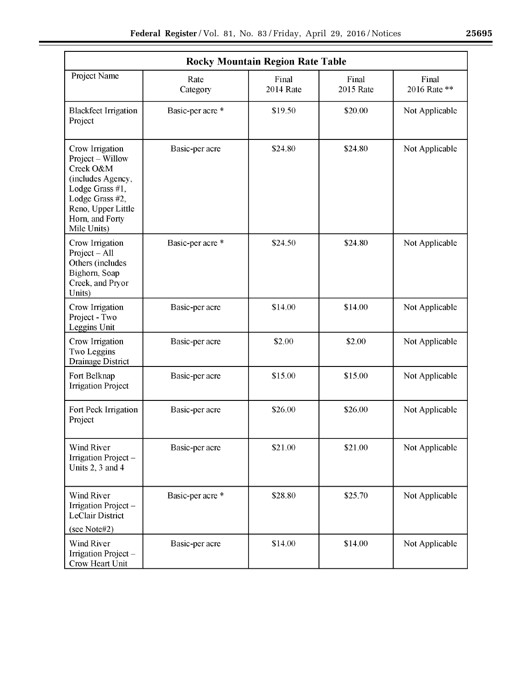| <b>Rocky Mountain Region Rate Table</b>                                                                                                                             |                  |                    |                           |                       |
|---------------------------------------------------------------------------------------------------------------------------------------------------------------------|------------------|--------------------|---------------------------|-----------------------|
| Project Name                                                                                                                                                        | Rate<br>Category | Final<br>2014 Rate | Final<br><b>2015 Rate</b> | Final<br>2016 Rate ** |
| <b>Blackfeet Irrigation</b><br>Project                                                                                                                              | Basic-per acre * | \$19.50            | \$20.00                   | Not Applicable        |
| Crow Irrigation<br>Project – Willow<br>Creek O&M<br>(includes Agency,<br>Lodge Grass #1,<br>Lodge Grass #2,<br>Reno, Upper Little<br>Horn, and Forty<br>Mile Units) | Basic-per acre   | \$24.80            | \$24.80                   | Not Applicable        |
| Crow Irrigation<br>$Project - All$<br>Others (includes<br>Bighorn, Soap<br>Creek, and Pryor<br>Units)                                                               | Basic-per acre * | \$24.50            | \$24.80                   | Not Applicable        |
| Crow Irrigation<br>Project - Two<br>Leggins Unit                                                                                                                    | Basic-per acre   | \$14.00            | \$14.00                   | Not Applicable        |
| Crow Irrigation<br>Two Leggins<br>Drainage District                                                                                                                 | Basic-per acre   | \$2.00             | \$2.00                    | Not Applicable        |
| Fort Belknap<br><b>Irrigation Project</b>                                                                                                                           | Basic-per acre   | \$15.00            | \$15.00                   | Not Applicable        |
| Fort Peck Irrigation<br>Project                                                                                                                                     | Basic-per acre   | \$26.00            | \$26.00                   | Not Applicable        |
| <b>Wind River</b><br>Irrigation Project -<br>Units 2, 3 and 4                                                                                                       | Basic-per acre   | \$21.00            | \$21.00                   | Not Applicable        |
| <b>Wind River</b><br>Irrigation Project -<br><b>LeClair District</b><br>(see Note#2)                                                                                | Basic-per acre * | \$28.80            | \$25.70                   | Not Applicable        |
| <b>Wind River</b><br>Irrigation Project-<br>Crow Heart Unit                                                                                                         | Basic-per acre   | \$14.00            | \$14.00                   | Not Applicable        |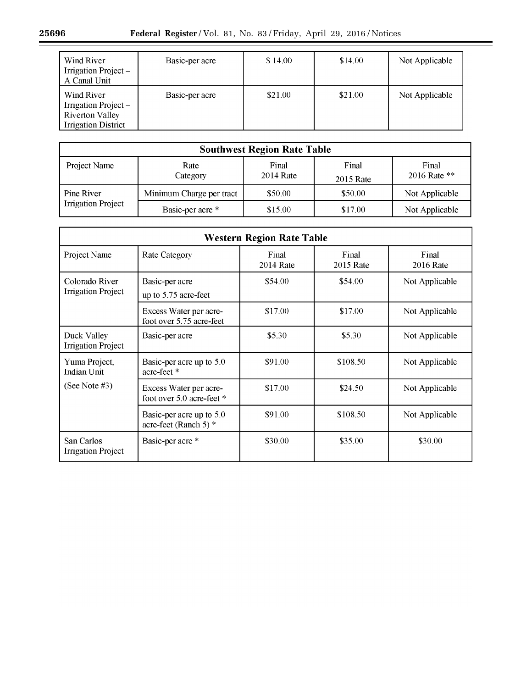| Wind River<br>Irrigation Project –<br>A Canal Unit                                         | Basic-per acre | \$14.00 | \$14.00 | Not Applicable |
|--------------------------------------------------------------------------------------------|----------------|---------|---------|----------------|
| Wind River<br>Irrigation Project –<br><b>Riverton Valley</b><br><b>Irrigation District</b> | Basic-per acre | \$21.00 | \$21.00 | Not Applicable |

| <b>Southwest Region Rate Table</b>      |                          |                    |                    |                       |  |
|-----------------------------------------|--------------------------|--------------------|--------------------|-----------------------|--|
| Project Name                            | Rate<br>Category         | Final<br>2014 Rate | Final<br>2015 Rate | Final<br>2016 Rate ** |  |
| Pine River<br><b>Irrigation Project</b> | Minimum Charge per tract | \$50.00            | \$50.00            | Not Applicable        |  |
|                                         | Basic-per acre *         | \$15.00            | \$17.00            | Not Applicable        |  |

| <b>Western Region Rate Table</b>            |                                                     |                    |                    |                    |
|---------------------------------------------|-----------------------------------------------------|--------------------|--------------------|--------------------|
| Project Name                                | <b>Rate Category</b>                                | Final<br>2014 Rate | Final<br>2015 Rate | Final<br>2016 Rate |
| Colorado River<br><b>Irrigation Project</b> | Basic-per acre<br>up to 5.75 acre-feet              | \$54.00<br>\$54.00 |                    | Not Applicable     |
|                                             | Excess Water per acre-<br>foot over 5.75 acre-feet  | \$17.00            | \$17.00            | Not Applicable     |
| Duck Valley<br><b>Irrigation Project</b>    | Basic-per acre                                      | \$5.30             | \$5.30             | Not Applicable     |
| Yuma Project,<br><b>Indian Unit</b>         | Basic-per acre up to 5.0<br>acre-feet *             | \$91.00            | \$108.50           | Not Applicable     |
| (See Note #3)                               | Excess Water per acre-<br>foot over 5.0 acre-feet * | \$17.00            | \$24.50            | Not Applicable     |
|                                             | Basic-per acre up to 5.0<br>acre-feet (Ranch 5) *   | \$91.00            | \$108.50           | Not Applicable     |
| San Carlos<br><b>Irrigation Project</b>     | Basic-per acre *                                    | \$30.00            | \$35.00            | \$30.00            |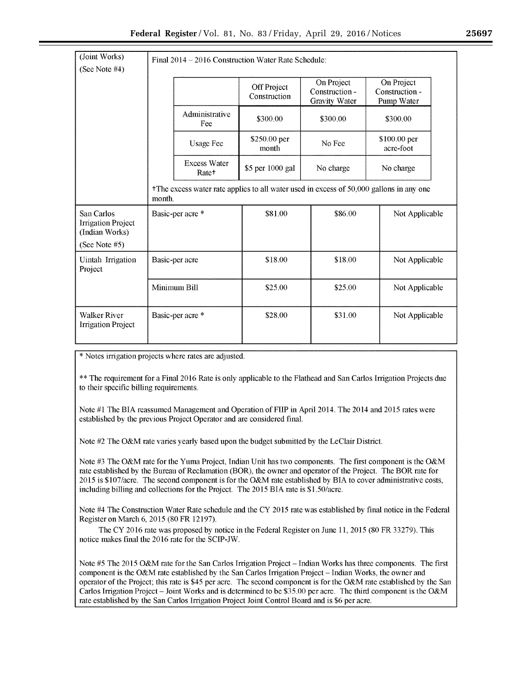| (Joint Works)                                                              |                  | Final 2014 – 2016 Construction Water Rate Schedule: |                             |                                                                                         |                                            |
|----------------------------------------------------------------------------|------------------|-----------------------------------------------------|-----------------------------|-----------------------------------------------------------------------------------------|--------------------------------------------|
| (See Note $#4$ )                                                           |                  |                                                     |                             |                                                                                         |                                            |
|                                                                            |                  |                                                     | Off Project<br>Construction | On Project<br>Construction -<br>Gravity Water                                           | On Project<br>Construction -<br>Pump Water |
|                                                                            |                  | Administrative<br>Fee                               | \$300.00                    | \$300.00                                                                                | \$300.00                                   |
|                                                                            |                  | <b>Usage Fee</b>                                    | \$250.00 per<br>month       | No Fee                                                                                  | \$100.00 per<br>acre-foot                  |
|                                                                            |                  | <b>Excess Water</b><br>Rate <sup>+</sup>            | \$5 per 1000 gal            | No charge                                                                               | No charge                                  |
|                                                                            | month.           |                                                     |                             | +The excess water rate applies to all water used in excess of 50,000 gallons in any one |                                            |
| San Carlos<br><b>Irrigation Project</b><br>(Indian Works)<br>(See Note #5) | Basic-per acre * |                                                     | \$81.00                     | \$86.00                                                                                 | Not Applicable                             |
| Uintah Irrigation<br>Project                                               | Basic-per acre   |                                                     | \$18.00                     | \$18.00                                                                                 | Not Applicable                             |
|                                                                            |                  | Minimum Bill                                        | \$25.00                     | \$25.00                                                                                 | Not Applicable                             |
| <b>Walker River</b><br><b>Irrigation Project</b>                           |                  | Basic-per acre *                                    | \$28.00                     | \$31.00                                                                                 | Not Applicable                             |

\*Notes irrigation projects where rates are adjusted.

\*\*The requirement for a Final2016 Rate is only applicable to the Flathead and San Carlos Irrigation Projects due to their specific billing requirements.

Note #1 The BIA reassumed Management and Operation of FIIP in April 2014. The 2014 and 2015 rates were established by the previous Project Operator and are considered finaL

Note #2 The O&M rate varies yearly based upon the budget submitted by the LeClair District.

Note #3 The O&M rate for the Yuma Project, Indian Unit has two components. The first component is the O&M rate established by the Bureau of Reclamation (BOR), the owner and operator of the Project. The BOR rate for 2015 is \$107 /acre. The second component is for the O&M rate established by BIA to cover administrative costs, including billing and collections for the Project. The 2015 BIA rate is \$1.50/acre.

Note #4 The Construction Water Rate schedule and the CY 2015 rate was established by final notice in the Federal Register on March 6, 2015 (80 FR 12197).

The CY 2016 rate was proposed by notice in the Federal Register on June 11, 2015 (80 FR 33279). This notice makes final the 2016 rate for the SCIP-JW.

Note #5 The 2015 O&M rate for the San Carlos Irrigation Project- Indian Works has three components. The first component is the O&M rate established by the San Carlos Irrigation Project- Indian Works, the owner and operator of the Project; this rate is \$45 per acre. The second component is for the O&M rate established by the San Carlos Irrigation Project - Joint Works and is determined to be \$35.00 per acre. The third component is the O&M rate established by the San Carlos Irrigation Project Joint Control Board and is \$6 per acre.